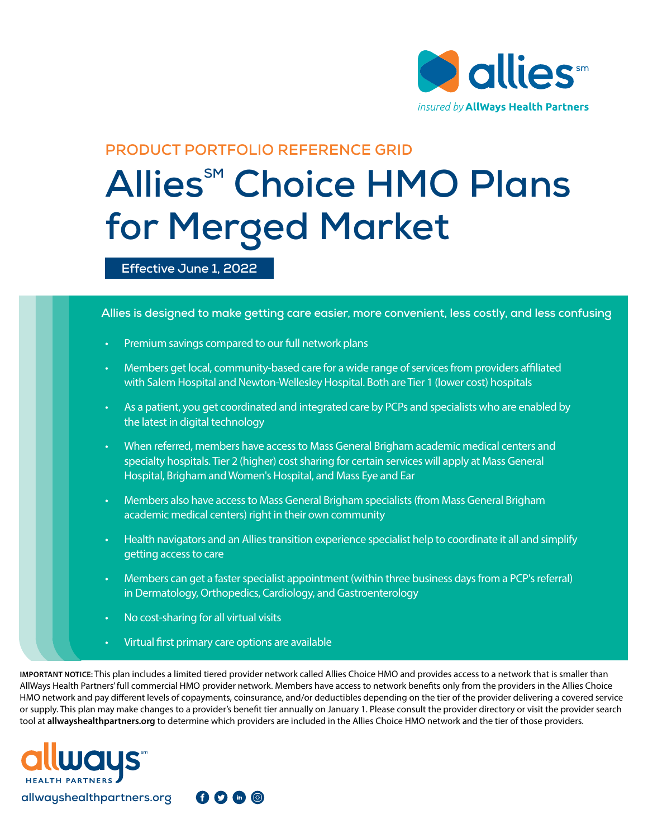

# **PRODUCT PORTFOLIO REFERENCE GRID**

# **Allies<sup>SM</sup> Choice HMO Plans for Merged Market**

#### **Effective June 1, 2022**

**Allies is designed to make getting care easier, more convenient, less costly, and less confusing**

- Premium savings compared to our full network plans
- Members get local, community-based care for a wide range of services from providers affiliated with Salem Hospital and Newton-Wellesley Hospital. Both are Tier 1 (lower cost) hospitals
- As a patient, you get coordinated and integrated care by PCPs and specialists who are enabled by the latest in digital technology
- When referred, members have access to Mass General Brigham academic medical centers and specialty hospitals. Tier 2 (higher) cost sharing for certain services will apply at Mass General Hospital, Brigham and Women's Hospital, and Mass Eye and Ear
- Members also have access to Mass General Brigham specialists (from Mass General Brigham academic medical centers) right in their own community
- Health navigators and an Allies transition experience specialist help to coordinate it all and simplify getting access to care
- Members can get a faster specialist appointment (within three business days from a PCP's referral) in Dermatology, Orthopedics, Cardiology, and Gastroenterology
- No cost-sharing for all virtual visits
- Virtual first primary care options are available

 $0000$ 

**IMPORTANT NOTICE:** This plan includes a limited tiered provider network called Allies Choice HMO and provides access to a network that is smaller than AllWays Health Partners' full commercial HMO provider network. Members have access to network benefits only from the providers in the Allies Choice HMO network and pay different levels of copayments, coinsurance, and/or deductibles depending on the tier of the provider delivering a covered service or supply. This plan may make changes to a provider's benefit tier annually on January 1. Please consult the provider directory or visit the provider search tool at **allwayshealthpartners.org** to determine which providers are included in the Allies Choice HMO network and the tier of those providers.

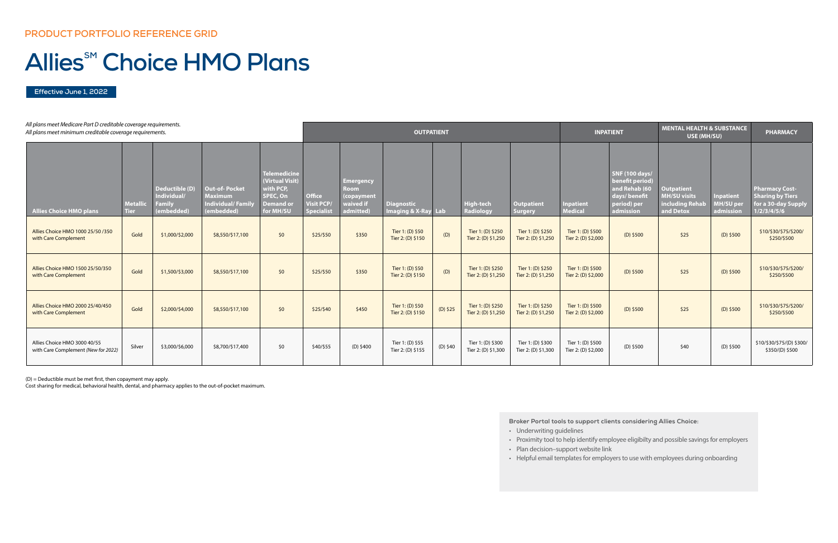| All plans meet Medicare Part D creditable coverage requirements.<br>All plans meet minimum creditable coverage requirements. |                                |                                                              |                                                                                  |                                                                                                  | <b>OUTPATIENT</b>                               |                                                                         |                                          |            |                                          |                                          | <b>INPATIENT</b>                         |                                                                                                       | <b>MENTAL HEALTH &amp; SUBSTANCE</b><br>USE (MH/SU)                      |                                            | <b>PHARMACY</b>                                                                        |
|------------------------------------------------------------------------------------------------------------------------------|--------------------------------|--------------------------------------------------------------|----------------------------------------------------------------------------------|--------------------------------------------------------------------------------------------------|-------------------------------------------------|-------------------------------------------------------------------------|------------------------------------------|------------|------------------------------------------|------------------------------------------|------------------------------------------|-------------------------------------------------------------------------------------------------------|--------------------------------------------------------------------------|--------------------------------------------|----------------------------------------------------------------------------------------|
| <b>Allies Choice HMO plans</b>                                                                                               | <b>Metallic</b><br><b>Tier</b> | Deductible (D)<br>Individual/<br><b>Family</b><br>(embedded) | <b>Out-of-Pocket</b><br><b>Maximum</b><br><b>Individual/Family</b><br>(embedded) | <b>Telemedicine</b><br>(Virtual Visit)<br>with PCP,<br>SPEC, On<br><b>Demand or</b><br>for MH/SU | <b>Office</b><br><b>Visit PCP</b><br>Specialist | <b>Emergency</b><br><b>Room</b><br>(copayment<br>waived if<br>admitted) | <b>Diagnostic</b><br>Imaging & X-Ray Lab |            | <b>High-tech</b><br>Radiology            | <b>Outpatient</b><br><b>Surgery</b>      | <b>Inpatient</b><br><b>Medical</b>       | <b>SNF (100 days/</b><br>benefit period)<br>and Rehab (60<br>days/benefit<br>period) per<br>admission | <b>Outpatient</b><br><b>MH/SU visits</b><br>including Rehab<br>and Detox | <b>Inpatient</b><br>MH/SU peı<br>admission | <b>Pharmacy Cost-</b><br><b>Sharing by Tiers</b><br>for a 30-day Supply<br>1/2/3/4/5/6 |
| Allies Choice HMO 1000 25/50 /350<br>with Care Complement                                                                    | Gold                           | \$1,000/\$2,000                                              | \$8,550/\$17,100                                                                 | \$0                                                                                              | \$25/\$50                                       | \$350                                                                   | Tier 1: (D) \$50<br>Tier 2: (D) \$150    | (D)        | Tier 1: (D) \$250<br>Tier 2: (D) \$1,250 | Tier 1: (D) \$250<br>Tier 2: (D) \$1,250 | Tier 1: (D) \$500<br>Tier 2: (D) \$2,000 | $(D)$ \$500                                                                                           | \$25                                                                     | $(D)$ \$500                                | \$10/\$30/\$75/\$200/<br>\$250/\$500                                                   |
| Allies Choice HMO 1500 25/50/350<br>with Care Complement                                                                     | Gold                           | \$1,500/\$3,000                                              | \$8,550/\$17,100                                                                 | \$0                                                                                              | \$25/\$50                                       | \$350                                                                   | Tier 1: (D) \$50<br>Tier 2: (D) \$150    | (D)        | Tier 1: (D) \$250<br>Tier 2: (D) \$1,250 | Tier 1: (D) \$250<br>Tier 2: (D) \$1,250 | Tier 1: (D) \$500<br>Tier 2: (D) \$2,000 | $(D)$ \$500                                                                                           | \$25                                                                     | $(D)$ \$500                                | \$10/\$30/\$75/\$200/<br>\$250/\$500                                                   |
| Allies Choice HMO 2000 25/40/450<br>with Care Complement                                                                     | Gold                           | \$2,000/\$4,000                                              | \$8,550/\$17,100                                                                 | \$0                                                                                              | \$25/\$40                                       | \$450                                                                   | Tier 1: (D) \$50<br>Tier 2: (D) \$150    | $(D)$ \$25 | Tier 1: (D) \$250<br>Tier 2: (D) \$1,250 | Tier 1: (D) \$250<br>Tier 2: (D) \$1,250 | Tier 1: (D) \$500<br>Tier 2: (D) \$2,000 | $(D)$ \$500                                                                                           | \$25                                                                     | $(D)$ \$500                                | \$10/\$30/\$75/\$200/<br>\$250/\$500                                                   |
| Allies Choice HMO 3000 40/55<br>with Care Complement (New for 2022)                                                          | Silver                         | \$3,000/\$6,000                                              | \$8,700/\$17,400                                                                 | \$0                                                                                              | \$40/\$55                                       | $(D)$ \$400                                                             | Tier 1: (D) \$55<br>Tier 2: (D) \$155    | (D) \$40   | Tier 1: (D) \$300<br>Tier 2: (D) \$1,300 | Tier 1: (D) \$300<br>Tier 2: (D) \$1,300 | Tier 1: (D) \$500<br>Tier 2: (D) \$2,000 | (D) \$500                                                                                             | \$40                                                                     | $(D)$ \$500                                | \$10/\$30/\$75/(D) \$300/<br>\$350/(D) \$500                                           |

**Effective June 1, 2022**

# **Allies<sup>SM</sup> Choice HMO Plans**

(D) = Deductible must be met first, then copayment may apply.

Cost sharing for medical, behavioral health, dental, and pharmacy applies to the out-of-pocket maximum.

**Broker Portal tools to support clients considering Allies Choice:** 

- Underwriting guidelines
- Proximity tool to help identify employee eligibilty and possible savings for employers
- Plan decision–support website link
- Helpful email templates for employers to use with employees during onboarding